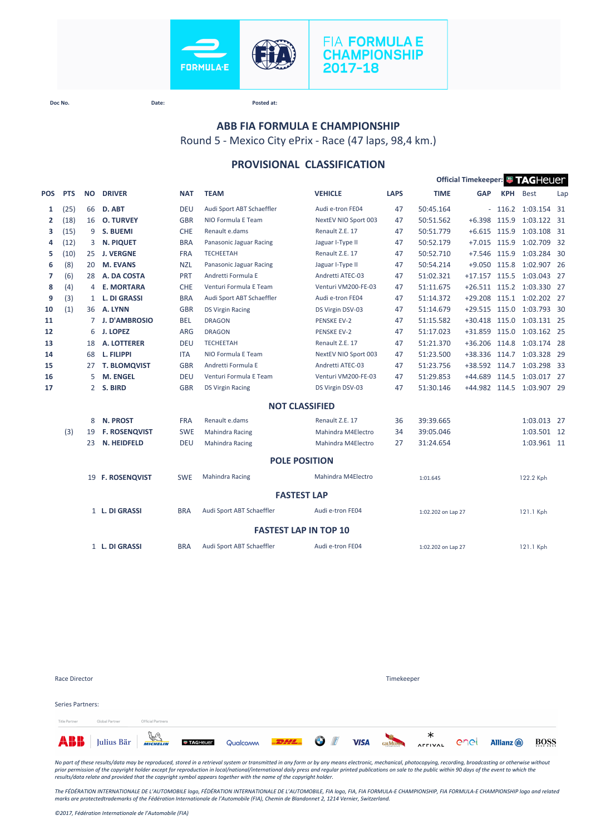

# **FIA FORMULA E CHAMPIONSHIP** 2017-18

**Doc No. Date: Posted at:**

# **ABB FIA FORMULA E CHAMPIONSHIP**

Round 5 - Mexico City ePrix - Race (47 laps, 98,4 km.)

### **PROVISIONAL CLASSIFICATION**

|                |            |                |                      |            |                           |                              |             |                    | Official Timekeeper: FAGHeuer |            |                           |      |
|----------------|------------|----------------|----------------------|------------|---------------------------|------------------------------|-------------|--------------------|-------------------------------|------------|---------------------------|------|
| POS            | <b>PTS</b> | <b>NO</b>      | <b>DRIVER</b>        | <b>NAT</b> | <b>TEAM</b>               | <b>VEHICLE</b>               | <b>LAPS</b> | <b>TIME</b>        | <b>GAP</b>                    | <b>KPH</b> | <b>Best</b>               | Lap  |
| 1              | (25)       | 66             | D. ABT               | <b>DEU</b> | Audi Sport ABT Schaeffler | Audi e-tron FE04             | 47          | 50:45.164          |                               |            | $-116.2$ 1:03.154 31      |      |
| $\mathbf{2}$   | (18)       | 16             | <b>O. TURVEY</b>     | <b>GBR</b> | NIO Formula E Team        | NextEV NIO Sport 003         | 47          | 50:51.562          | $+6.398$                      | 115.9      | 1:03.122 31               |      |
| з              | (15)       | 9              | <b>S. BUEMI</b>      | <b>CHE</b> | Renault e.dams            | Renault Z.E. 17              | 47          | 50:51.779          | $+6.615$ 115.9                |            | 1:03.108 31               |      |
| 4              | (12)       | 3              | <b>N. PIQUET</b>     | <b>BRA</b> | Panasonic Jaguar Racing   | Jaguar I-Type II             | 47          | 50:52.179          | $+7.015$                      | 115.9      | 1:02.709                  | - 32 |
| 5              | (10)       | 25             | <b>J. VERGNE</b>     | <b>FRA</b> | <b>TECHEETAH</b>          | Renault Z.E. 17              | 47          | 50:52.710          | $+7.546$                      | 115.9      | 1:03.284 30               |      |
| 6              | (8)        | 20             | <b>M. EVANS</b>      | <b>NZL</b> | Panasonic Jaguar Racing   | Jaguar I-Type II             | 47          | 50:54.214          | +9.050 115.8                  |            | 1:02.907 26               |      |
| $\overline{7}$ | (6)        | 28             | A. DA COSTA          | PRT        | Andretti Formula E        | Andretti ATEC-03             | 47          | 51:02.321          | $+17.157$ 115.5               |            | 1:03.043 27               |      |
| 8              | (4)        | 4              | <b>E. MORTARA</b>    | <b>CHE</b> | Venturi Formula E Team    | Venturi VM200-FE-03          | 47          | 51:11.675          |                               |            | +26.511 115.2 1:03.330 27 |      |
| 9              | (3)        | 1              | <b>L. DI GRASSI</b>  | <b>BRA</b> | Audi Sport ABT Schaeffler | Audi e-tron FE04             | 47          | 51:14.372          | $+29.208$                     | 115.1      | 1:02.202 27               |      |
| 10             | (1)        | 36             | A. LYNN              | <b>GBR</b> | <b>DS Virgin Racing</b>   | DS Virgin DSV-03             | 47          | 51:14.679          | $+29.515$                     | 115.0      | 1:03.793 30               |      |
| 11             |            | 7              | <b>J. D'AMBROSIO</b> | <b>BEL</b> | <b>DRAGON</b>             | <b>PENSKE EV-2</b>           | 47          | 51:15.582          | +30.418 115.0                 |            | 1:03.131 25               |      |
| 12             |            | 6              | <b>J. LOPEZ</b>      | <b>ARG</b> | <b>DRAGON</b>             | <b>PENSKE EV-2</b>           | 47          | 51:17.023          | +31.859 115.0                 |            | 1:03.162 25               |      |
| 13             |            | 18             | <b>A. LOTTERER</b>   | <b>DEU</b> | <b>TECHEETAH</b>          | Renault Z.E. 17              | 47          | 51:21.370          | $+36.206$                     | 114.8      | 1:03.174 28               |      |
| 14             |            | 68             | L. FILIPPI           | <b>ITA</b> | NIO Formula E Team        | NextEV NIO Sport 003         | 47          | 51:23.500          | +38.336                       | 114.7      | 1:03.328 29               |      |
| 15             |            | 27             | <b>T. BLOMQVIST</b>  | <b>GBR</b> | Andretti Formula E        | Andretti ATEC-03             | 47          | 51:23.756          | +38.592 114.7                 |            | 1:03.298 33               |      |
| 16             |            | 5              | <b>M. ENGEL</b>      | <b>DEU</b> | Venturi Formula E Team    | Venturi VM200-FE-03          | 47          | 51:29.853          | $+44.689$                     | 114.5      | 1:03.017 27               |      |
| 17             |            | $\overline{2}$ | S. BIRD              | <b>GBR</b> | <b>DS Virgin Racing</b>   | DS Virgin DSV-03             | 47          | 51:30.146          | +44.982 114.5                 |            | 1:03.907 29               |      |
|                |            |                |                      |            |                           | <b>NOT CLASSIFIED</b>        |             |                    |                               |            |                           |      |
|                |            | 8              | <b>N. PROST</b>      | <b>FRA</b> | Renault e.dams            | Renault Z.E. 17              | 36          | 39:39.665          |                               |            | 1:03.013 27               |      |
|                | (3)        | 19             | <b>F. ROSENQVIST</b> | <b>SWE</b> | <b>Mahindra Racing</b>    | Mahindra M4Electro           | 34          | 39:05.046          |                               |            | 1:03.501 12               |      |
|                |            | 23             | N. HEIDFELD          | <b>DEU</b> | Mahindra Racing           | Mahindra M4Electro           | 27          | 31:24.654          |                               |            | 1:03.961 11               |      |
|                |            |                |                      |            |                           | <b>POLE POSITION</b>         |             |                    |                               |            |                           |      |
|                |            |                | 19 F. ROSENQVIST     | <b>SWE</b> | <b>Mahindra Racing</b>    | Mahindra M4Electro           |             | 1:01.645           |                               |            | 122.2 Kph                 |      |
|                |            |                |                      |            |                           | <b>FASTEST LAP</b>           |             |                    |                               |            |                           |      |
|                |            |                | 1 L. DI GRASSI       | <b>BRA</b> | Audi Sport ABT Schaeffler | Audi e-tron FE04             |             | 1:02.202 on Lap 27 |                               |            | 121.1 Kph                 |      |
|                |            |                |                      |            |                           | <b>FASTEST LAP IN TOP 10</b> |             |                    |                               |            |                           |      |
|                |            |                | 1 L. DI GRASSI       | <b>BRA</b> | Audi Sport ABT Schaeffler | Audi e-tron FE04             |             | 1:02.202 on Lap 27 |                               |            | 121.1 Kph                 |      |

| Race Director    |                                         |                   |                                           |  |             | Timekeeper |                        |      |                     |             |
|------------------|-----------------------------------------|-------------------|-------------------------------------------|--|-------------|------------|------------------------|------|---------------------|-------------|
| Series Partners: |                                         |                   |                                           |  |             |            |                        |      |                     |             |
| Title Partner    | Global Partner                          | Official Partners |                                           |  |             |            |                        |      |                     |             |
|                  | <b>ABB</b> Julius Bär <b>Francische</b> |                   | <b>STAGHELER</b> Qualcomm <b>-22/14 C</b> |  | <b>VISA</b> |            | <b>CHANDRA AFFIVAL</b> | enel | <b>Allianz</b> (II) | <b>BOSS</b> |

*No part of these results/data may be reproduced, stored in a retrieval system or transmitted in any form or by any means electronic, mechanical, photocopying, recording, broadcasting or otherwise without*  prior permission of the copyright holder except for reproduction in local/national/international daily press and regular printed publications on sale to the public within 90 days of the event to which the<br>results/data rela

*The FÉDÉRATION INTERNATIONALE DE L'AUTOMOBILE logo, FÉDÉRATION INTERNATIONALE DE L'AUTOMOBILE, FIA logo, FIA, FIA FORMULA-E CHAMPIONSHIP, FIA FORMULA-E CHAMPIONSHIP logo and related marks are protectedtrademarks of the Fédération Internationale de l'Automobile (FIA), Chemin de Blandonnet 2, 1214 Vernier, Switzerland.*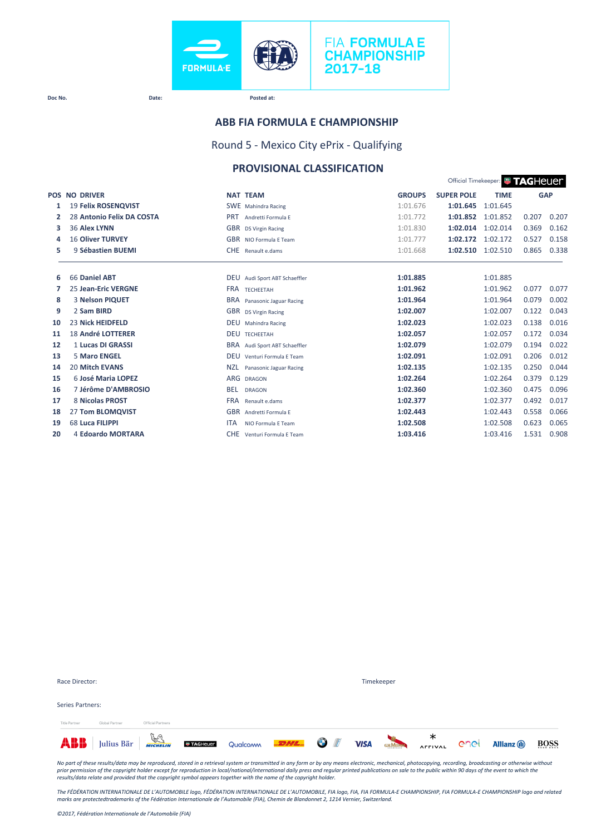

# **ABB FIA FORMULA E CHAMPIONSHIP**

Round 5 - Mexico City ePrix - Qualifying

# **PROVISIONAL CLASSIFICATION**

|        |                            |                                                          |               |                   | Official Timekeeper: <b># TAGHEUE</b> |       |            |
|--------|----------------------------|----------------------------------------------------------|---------------|-------------------|---------------------------------------|-------|------------|
|        | <b>POS NO DRIVER</b>       | <b>NAT TEAM</b>                                          | <b>GROUPS</b> | <b>SUPER POLE</b> | <b>TIME</b>                           |       | <b>GAP</b> |
| 1      | <b>19 Felix ROSENQVIST</b> | <b>SWE</b> Mahindra Racing                               | 1:01.676      | 1:01.645          | 1:01.645                              |       |            |
| 2      | 28 Antonio Felix DA COSTA  | <b>PRT</b><br>Andretti Formula F                         | 1:01.772      | 1:01.852          | 1:01.852                              | 0.207 | 0.207      |
| 3      | 36 Alex LYNN               | GBR DS Virgin Racing                                     | 1:01.830      | 1:02.014          | 1:02.014                              | 0.369 | 0.162      |
| 4      | <b>16 Oliver TURVEY</b>    | GBR NIO Formula F Team                                   | 1:01.777      | 1:02.172          | 1:02.172                              | 0.527 | 0.158      |
| 5      | 9 Sébastien BUEMI          | CHE Renault e.dams                                       | 1:01.668      | 1:02.510          | 1:02.510                              | 0.865 | 0.338      |
|        | 66 Daniel ABT              |                                                          | 1:01.885      |                   | 1:01.885                              |       |            |
| 6<br>7 | <b>25 Jean-Eric VERGNE</b> | DEU Audi Sport ABT Schaeffler<br><b>FRA</b><br>TECHEETAH | 1:01.962      |                   | 1:01.962                              | 0.077 | 0.077      |
| 8      | 3 Nelson PIQUET            | <b>BRA</b><br>Panasonic Jaguar Racing                    | 1:01.964      |                   | 1:01.964                              | 0.079 | 0.002      |
| 9      | 2 Sam BIRD                 | GBR DS Virgin Racing                                     | 1:02.007      |                   | 1:02.007                              | 0.122 | 0.043      |
| 10     | <b>23 Nick HEIDFELD</b>    | <b>DEU</b><br>Mahindra Racing                            | 1:02.023      |                   | 1:02.023                              | 0.138 | 0.016      |
| 11     | <b>18 André LOTTERER</b>   | DEU<br>TECHEETAH                                         | 1:02.057      |                   | 1:02.057                              | 0.172 | 0.034      |
| 12     | 1 Lucas DI GRASSI          | <b>BRA</b><br>Audi Sport ABT Schaeffler                  | 1:02.079      |                   | 1:02.079                              | 0.194 | 0.022      |
| 13     | <b>5 Maro ENGEL</b>        | <b>DEU</b><br>Venturi Formula E Team                     | 1:02.091      |                   | 1:02.091                              | 0.206 | 0.012      |
| 14     | <b>20 Mitch EVANS</b>      | <b>NZL</b><br>Panasonic Jaguar Racing                    | 1:02.135      |                   | 1:02.135                              | 0.250 | 0.044      |
| 15     | 6 José Maria LOPEZ         | ARG<br><b>DRAGON</b>                                     | 1:02.264      |                   | 1:02.264                              | 0.379 | 0.129      |
| 16     | 7 Jérôme D'AMBROSIO        | <b>BEL</b><br><b>DRAGON</b>                              | 1:02.360      |                   | 1:02.360                              | 0.475 | 0.096      |
| 17     | 8 Nicolas PROST            | <b>FRA</b><br>Renault e.dams                             | 1:02.377      |                   | 1:02.377                              | 0.492 | 0.017      |
| 18     | 27 Tom BLOMQVIST           | <b>GBR</b><br>Andretti Formula E                         | 1:02.443      |                   | 1:02.443                              | 0.558 | 0.066      |
| 19     | 68 Luca FILIPPI            | <b>ITA</b><br>NIO Formula F Team                         | 1:02.508      |                   | 1:02.508                              | 0.623 | 0.065      |
| 20     | 4 Edoardo MORTARA          | <b>CHE</b><br>Venturi Formula E Team                     | 1:03.416      |                   | 1:03.416                              | 1.531 | 0.908      |

| Race Director:   |                                                                                |                   |  |  | Timekeeper |                         |      |                     |             |
|------------------|--------------------------------------------------------------------------------|-------------------|--|--|------------|-------------------------|------|---------------------|-------------|
| Series Partners: |                                                                                |                   |  |  |            |                         |      |                     |             |
| Title Partner    | Global Partner                                                                 | Official Partners |  |  |            |                         |      |                     |             |
|                  | <b>ABB</b> Julius Bär <b>WARELING CONTAGREER</b> Qualcomm <b>EDHL</b> 3 1 VISA |                   |  |  |            | <b>CHANDARY AFFIVAL</b> | enel | <b>Allianz</b> (ii) | <b>BOSS</b> |

*No part of these results/data may be reproduced, stored in a retrieval system or transmitted in any form or by any means electronic, mechanical, photocopying, recording, broadcasting or otherwise without*  prior permission of the copyright holder except for reproduction in local/national/international daily press and regular printed publications on sale to the public within 90 days of the event to which the<br>results/data rela

The FÉDÉRATION INTERNATIONALE DE L'AUTOMOBILE logo, FÉDÉRATION INTERNATIONALE DE L'AUTOMOBILE, FIA logo, FIA, FIA FORMULA-E CHAMPIONSHIP, FIA FORMULA-E CHAMPIONSHIP logo and related<br>marks are protectedtrademarks of the Féd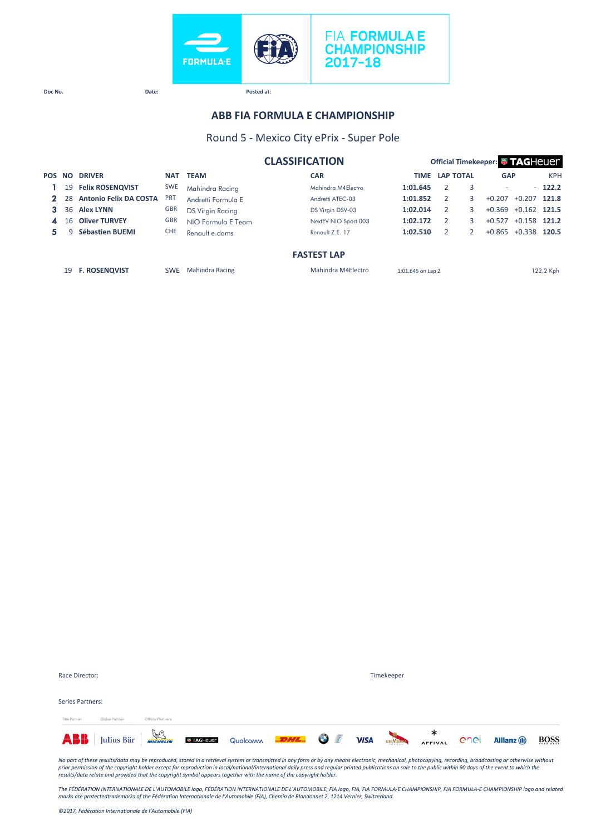

# **ABB FIA FORMULA E CHAMPIONSHIP**

### Round 5 - Mexico City ePrix - Super Pole

|   |     |                               |            |                         | <b>CLASSIFICATION</b> | <b>Official Timekeeper: # TAGHEUEL</b> |  |                  |                          |          |            |  |
|---|-----|-------------------------------|------------|-------------------------|-----------------------|----------------------------------------|--|------------------|--------------------------|----------|------------|--|
|   |     | <b>POS NO DRIVER</b>          | <b>NAT</b> | <b>TEAM</b>             | <b>CAR</b>            | TIME                                   |  | <b>LAP TOTAL</b> | <b>GAP</b>               |          | <b>KPH</b> |  |
|   | 19  | <b>Felix ROSENQVIST</b>       | <b>SWE</b> | Mahindra Racing         | Mahindra M4Electro    | 1:01.645                               |  |                  | $\overline{\phantom{a}}$ |          | $-122.2$   |  |
|   | 28. | <b>Antonio Felix DA COSTA</b> | <b>PRT</b> | Andretti Formula E      | Andretti ATEC-03      | 1:01.852                               |  | 3                | $+0.207$                 | $+0.207$ | 121.8      |  |
|   |     | 36 Alex LYNN                  | <b>GBR</b> | <b>DS Virgin Racing</b> | DS Virgin DSV-03      | 1:02.014                               |  | 3                | $+0.369$                 | $+0.162$ | 121.5      |  |
|   | 16  | <b>Oliver TURVEY</b>          | <b>GBR</b> | NIO Formula E Team      | NextEV NIO Sport 003  | 1:02.172                               |  |                  | $+0.527$                 | $+0.158$ | 121.2      |  |
| 5 |     | Sébastien BUEMI               | <b>CHE</b> | Renault e.dams          | Renault Z.E. 17       | 1:02.510                               |  |                  | $+0.865$                 | $+0.338$ | 120.5      |  |
|   |     |                               |            |                         | <b>FASTEST LAP</b>    |                                        |  |                  |                          |          |            |  |

19 **F. ROSENQVIST** SWE Mahindra Racing Mahindra M4Electro 1:01.645 on Lap 2 122.2 Kph

| Series Partners: |                                                                                                                      |                   |  |  |  |  |  |
|------------------|----------------------------------------------------------------------------------------------------------------------|-------------------|--|--|--|--|--|
| Title Partner    | Global Partner                                                                                                       | Official Partners |  |  |  |  |  |
|                  | ABB Julius Bär <b>Well Executeur</b> Qualcomm <b>DELL OF VISA</b> SEMBRO AFFIVAL C <sup>o</sup> nel Allianz (1) BOSS |                   |  |  |  |  |  |

Race Director: Timekeeper

*No part of these results/data may be reproduced, stored in a retrieval system or transmitted in any form or by any means electronic, mechanical, photocopying, recording, broadcasting or otherwise without*  prior permission of the copyright holder except for reproduction in local/national/international daily press and regular printed publications on sale to the public within 90 days of the event to which the<br>results/data rela

The FÉDÉRATION INTERNATIONALE DE L'AUTOMOBILE logo, FÉDÉRATION INTERNATIONALE DE L'AUTOMOBILE, FIA logo, FIA, FIA FORMULA-E CHAMPIONSHIP, FIA FORMULA-E CHAMPIONSHIP logo and related<br>marks are protectedtrademarks of the Féd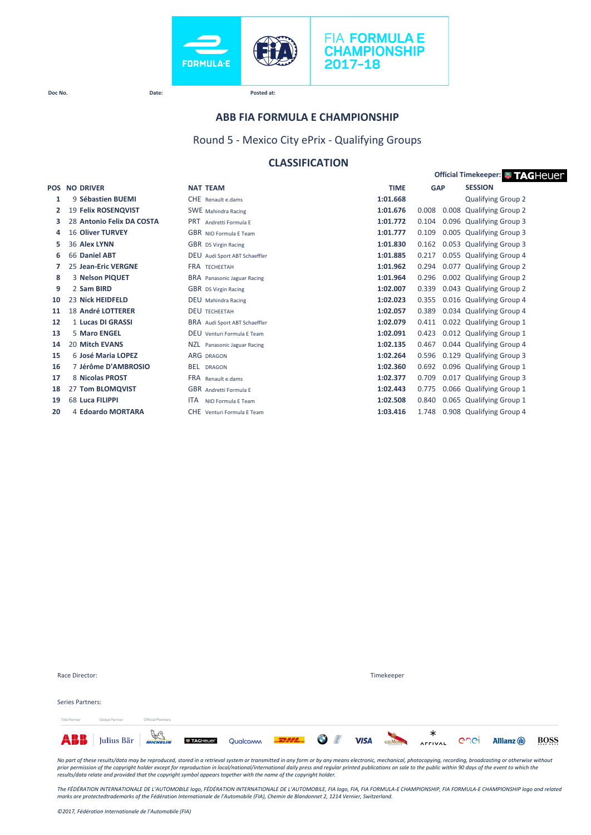



#### **ABB FIA FORMULA E CHAMPIONSHIP**

Round 5 - Mexico City ePrix - Qualifying Groups

# **CLASSIFICATION**

|    |                           |                                  |             |                | <b>Official Timekeeper: # TAGHeUer</b> |
|----|---------------------------|----------------------------------|-------------|----------------|----------------------------------------|
|    | <b>POS NO DRIVER</b>      | <b>NAT TEAM</b>                  | <b>TIME</b> | <b>GAP</b>     | <b>SESSION</b>                         |
| 1  | 9 Sébastien BUEMI         | CHE Renault e.dams               | 1:01.668    |                | <b>Qualifying Group 2</b>              |
| 2  | 19 Felix ROSENQVIST       | <b>SWE</b> Mahindra Racing       | 1:01.676    | 0.008          | 0.008 Qualifying Group 2               |
| з  | 28 Antonio Felix DA COSTA | <b>PRT</b><br>Andretti Formula F | 1:01.772    | 0.104          | 0.096 Qualifying Group 3               |
| 4  | <b>16 Oliver TURVEY</b>   | <b>GBR</b> NIO Formula E Team    | 1:01.777    | 0.109          | 0.005 Qualifying Group 3               |
| 5  | 36 Alex LYNN              | GBR DS Virgin Racing             | 1:01.830    | 0.162          | 0.053 Qualifying Group 3               |
| 6  | 66 Daniel ABT             | DEU Audi Sport ABT Schaeffler    | 1:01.885    | 0.217          | 0.055 Qualifying Group 4               |
| 7  | 25 Jean-Eric VERGNE       | <b>FRA TECHEETAH</b>             | 1:01.962    | 0.294          | 0.077 Qualifying Group 2               |
| 8  | 3 Nelson PIQUET           | BRA Panasonic Jaguar Racing      | 1:01.964    | 0.296          | 0.002 Qualifying Group 2               |
| 9  | 2 Sam BIRD                | <b>GBR</b> DS Virgin Racing      | 1:02.007    | 0.339          | 0.043 Qualifying Group 2               |
| 10 | 23 Nick HEIDFELD          | <b>DEU</b> Mahindra Racing       | 1:02.023    | 0.355          | 0.016 Qualifying Group 4               |
| 11 | <b>18 André LOTTERER</b>  | <b>DEU TECHEETAH</b>             | 1:02.057    | 0.389          | 0.034 Qualifying Group 4               |
| 12 | 1 Lucas DI GRASSI         | BRA Audi Sport ABT Schaeffler    | 1:02.079    | 0.411          | 0.022 Qualifying Group 1               |
| 13 | 5 Maro ENGEL              | DEU Venturi Formula E Team       | 1:02.091    | 0.423          | 0.012 Qualifying Group 1               |
| 14 | 20 Mitch EVANS            | NZL<br>Panasonic Jaguar Racing   | 1:02.135    | 0.467          | 0.044 Qualifying Group 4               |
| 15 | 6 José Maria LOPEZ        | <b>ARG DRAGON</b>                | 1:02.264    | 0.596          | 0.129 Qualifying Group 3               |
| 16 | 7 Jérôme D'AMBROSIO       | <b>BEL</b><br><b>DRAGON</b>      | 1:02.360    | 0.692          | 0.096 Qualifying Group 1               |
| 17 | 8 Nicolas PROST           | <b>FRA</b> Renault e.dams        | 1:02.377    | 0.709<br>0.017 | <b>Qualifying Group 3</b>              |
| 18 | 27 Tom BLOMQVIST          | <b>GBR</b> Andretti Formula E    | 1:02.443    | 0.775          | 0.066 Qualifying Group 1               |
| 19 | 68 Luca FILIPPI           | <b>ITA</b><br>NIO Formula E Team | 1:02.508    | 0.840          | 0.065 Qualifying Group 1               |
| 20 | 4 Edoardo MORTARA         | CHE Venturi Formula E Team       | 1:03.416    | 1.748          | 0.908 Qualifying Group 4               |

| Julius Bär $\frac{a}{b}$<br>ABB |                   | <b>TAGHELLER</b> Qualcomm <b>-22/2 CM</b> |  | <b>VISA</b> | <b>GHMUMM</b> | ∗<br><b>AFFIVAL</b> | enel | <b>Allianz</b> (ii) | <b>BOSS</b> |
|---------------------------------|-------------------|-------------------------------------------|--|-------------|---------------|---------------------|------|---------------------|-------------|
| Global Partner<br>Title Partner | Official Partners |                                           |  |             |               |                     |      |                     |             |
| Series Partners:                |                   |                                           |  |             |               |                     |      |                     |             |
| Race Director:                  |                   |                                           |  |             | Timekeeper    |                     |      |                     |             |

No part of these results/data may be reproduced, stored in a retrieval system or transmitted in any form or by any means electronic, mechanical, photocopying, recording, broadcasting or otherwise without<br>prior permission o

The FÉDÉRATION INTERNATIONALE DE L'AUTOMOBILE logo, FÉDÉRATION INTERNATIONALE DE L'AUTOMOBILE, FIA logo, FIA, FIA FORMULA-E CHAMPIONSHIP, FIA FORMULA-E CHAMPIONSHIP logo and related<br>marks are protectedtrademarks of the Féd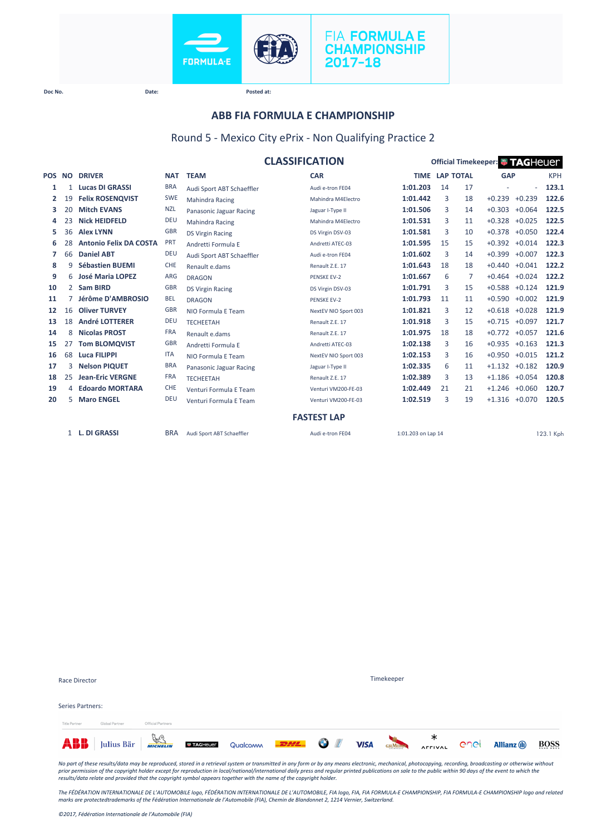



### **ABB FIA FORMULA E CHAMPIONSHIP**

### Round 5 - Mexico City ePrix - Non Qualifying Practice 2

|        |                |                               |            | <b>CLASSIFICATION</b>     |                      | Official Timekeeper: <sup>1</sup> 7AGHeuer |                       |    |                 |          |            |  |
|--------|----------------|-------------------------------|------------|---------------------------|----------------------|--------------------------------------------|-----------------------|----|-----------------|----------|------------|--|
| POS NO |                | <b>DRIVER</b>                 | <b>NAT</b> | <b>TEAM</b>               | <b>CAR</b>           |                                            | <b>TIME LAP TOTAL</b> |    | <b>GAP</b>      |          | <b>KPH</b> |  |
| 1      | 1              | <b>Lucas DI GRASSI</b>        | <b>BRA</b> | Audi Sport ABT Schaeffler | Audi e-tron FF04     | 1:01.203                                   | 14                    | 17 |                 | $\sim$   | 123.1      |  |
| 2      | 19             | <b>Felix ROSENQVIST</b>       | <b>SWE</b> | <b>Mahindra Racing</b>    | Mahindra M4Electro   | 1:01.442                                   | 3                     | 18 | $+0.239$        | $+0.239$ | 122.6      |  |
| 3      | 20             | <b>Mitch EVANS</b>            | <b>NZL</b> | Panasonic Jaguar Racing   | Jaguar I-Type II     | 1:01.506                                   | 3                     | 14 | $+0.303$        | $+0.064$ | 122.5      |  |
| 4      | 23             | <b>Nick HEIDFELD</b>          | <b>DEU</b> | <b>Mahindra Racing</b>    | Mahindra M4Electro   | 1:01.531                                   | 3                     | 11 | $+0.328$        | $+0.025$ | 122.5      |  |
| 5      | 36             | <b>Alex LYNN</b>              | <b>GBR</b> | <b>DS Virgin Racing</b>   | DS Virgin DSV-03     | 1:01.581                                   | 3                     | 10 | $+0.378$        | $+0.050$ | 122.4      |  |
| 6      | 28             | <b>Antonio Felix DA COSTA</b> | <b>PRT</b> | Andretti Formula E        | Andretti ATEC-03     | 1:01.595                                   | 15                    | 15 | $+0.392$        | $+0.014$ | 122.3      |  |
| 7      | 66             | <b>Daniel ABT</b>             | <b>DEU</b> | Audi Sport ABT Schaeffler | Audi e-tron FE04     | 1:01.602                                   | 3                     | 14 | $+0.399$        | $+0.007$ | 122.3      |  |
| 8      | q              | <b>Sébastien BUEMI</b>        | <b>CHE</b> | Renault e.dams            | Renault Z.E. 17      | 1:01.643                                   | 18                    | 18 | $+0.440$        | $+0.041$ | 122.2      |  |
| 9      | 6              | <b>José Maria LOPEZ</b>       | <b>ARG</b> | <b>DRAGON</b>             | <b>PENSKE EV-2</b>   | 1:01.667                                   | 6                     | 7  | $+0.464$        | $+0.024$ | 122.2      |  |
| 10     | $\overline{2}$ | <b>Sam BIRD</b>               | <b>GBR</b> | <b>DS Virgin Racing</b>   | DS Virgin DSV-03     | 1:01.791                                   | 3                     | 15 | $+0.588$        | $+0.124$ | 121.9      |  |
| 11     |                | Jérôme D'AMBROSIO             | <b>BEL</b> | <b>DRAGON</b>             | PENSKE EV-2          | 1:01.793                                   | 11                    | 11 | $+0.590$        | $+0.002$ | 121.9      |  |
| 12     | 16             | <b>Oliver TURVEY</b>          | <b>GBR</b> | NIO Formula E Team        | NextEV NIO Sport 003 | 1:01.821                                   | 3                     | 12 | $+0.618$        | $+0.028$ | 121.9      |  |
| 13     | 18             | <b>André LOTTERER</b>         | <b>DEU</b> | <b>TECHEETAH</b>          | Renault Z.E. 17      | 1:01.918                                   | 3                     | 15 | $+0.715$        | $+0.097$ | 121.7      |  |
| 14     | 8              | <b>Nicolas PROST</b>          | <b>FRA</b> | Renault e.dams            | Renault Z.E. 17      | 1:01.975                                   | 18                    | 18 | $+0.772$        | $+0.057$ | 121.6      |  |
| 15     | 27             | <b>Tom BLOMQVIST</b>          | <b>GBR</b> | Andretti Formula E        | Andretti ATEC-03     | 1:02.138                                   | 3                     | 16 | $+0.935$        | $+0.163$ | 121.3      |  |
| 16     | 68             | <b>Luca FILIPPI</b>           | <b>ITA</b> | NIO Formula E Team        | NextEV NIO Sport 003 | 1:02.153                                   | 3                     | 16 | $+0.950 +0.015$ |          | 121.2      |  |
| 17     | 3              | <b>Nelson PIQUET</b>          | <b>BRA</b> | Panasonic Jaguar Racing   | Jaguar I-Type II     | 1:02.335                                   | 6                     | 11 | $+1.132$        | $+0.182$ | 120.9      |  |
| 18     | 25             | <b>Jean-Eric VERGNE</b>       | <b>FRA</b> | <b>TECHEETAH</b>          | Renault Z.E. 17      | 1:02.389                                   | 3                     | 13 | $+1.186$        | $+0.054$ | 120.8      |  |
| 19     | 4              | <b>Edoardo MORTARA</b>        | <b>CHE</b> | Venturi Formula E Team    | Venturi VM200-FE-03  | 1:02.449                                   | 21                    | 21 | $+1.246$        | $+0.060$ | 120.7      |  |
| 20     | 5.             | <b>Maro ENGEL</b>             | <b>DEU</b> | Venturi Formula E Team    | Venturi VM200-FE-03  | 1:02.519                                   | 3                     | 19 | $+1.316$        | $+0.070$ | 120.5      |  |
|        |                |                               |            |                           | <b>FASTEST LAP</b>   |                                            |                       |    |                 |          |            |  |
|        |                | 1 L. DI GRASSI                | <b>BRA</b> | Audi Sport ABT Schaeffler | Audi e-tron FE04     | 1:01.203 on Lap 14                         |                       |    |                 |          | 123.1 Kph  |  |

|                      | <b>ABB</b> Julius Bär <b>WARD DETAGREER</b> Qualcomm <b>LEAL OF</b> VISA |                   |  |  |            | <b>CHAUSE AFFIVAL</b> | enel | <b>Allianz</b> (ii) | <b>BOSS</b> |
|----------------------|--------------------------------------------------------------------------|-------------------|--|--|------------|-----------------------|------|---------------------|-------------|
| <b>Title Partner</b> | Global Partner                                                           | Official Partners |  |  |            |                       |      |                     |             |
| Series Partners:     |                                                                          |                   |  |  |            |                       |      |                     |             |
| <b>Race Director</b> |                                                                          |                   |  |  | Timekeeper |                       |      |                     |             |

No part of these results/data may be reproduced, stored in a retrieval system or transmitted in any form or by any means electronic, mechanical, photocopying, recording, broadcasting or otherwise without<br>prior permission o

*The FÉDÉRATION INTERNATIONALE DE L'AUTOMOBILE logo, FÉDÉRATION INTERNATIONALE DE L'AUTOMOBILE, FIA logo, FIA, FIA FORMULA-E CHAMPIONSHIP, FIA FORMULA-E CHAMPIONSHIP logo and related marks are protectedtrademarks of the Fédération Internationale de l'Automobile (FIA), Chemin de Blandonnet 2, 1214 Vernier, Switzerland.*